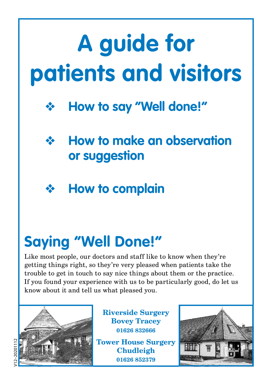# **A guide for patients and visitors**







# **Saying "Well Done!"**

Like most people, our doctors and staff like to know when they're getting things right, so they're very pleased when patients take the trouble to get in touch to say nice things about them or the practice. If you found your experience with us to be particularly good, do let us know about it and tell us what pleased you.



**Riverside Surgery Bovey Tracey 01626 832666 Tower House Surgery Chudleigh**

**01626 852379**

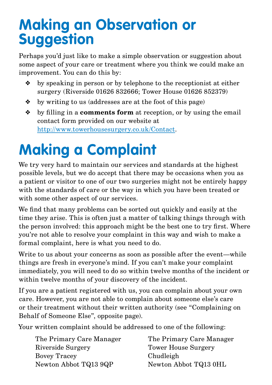## **Making an Observation or Suggestion**

Perhaps you'd just like to make a simple observation or suggestion about some aspect of your care or treatment where you think we could make an improvement. You can do this by:

- ❖ by speaking in person or by telephone to the receptionist at either surgery (Riverside 01626 832666; Tower House 01626 852379)
- ❖ by writing to us (addresses are at the foot of this page)
- ❖ by filling in a **comments form** at reception, or by using the email contact form provided on our website at http://www.towerhousesurgery.co.uk/Contact.

# **Making a Complaint**

We try very hard to maintain our services and standards at the highest possible levels, but we do accept that there may be occasions when you as a patient or visitor to one of our two surgeries might not be entirely happy with the standards of care or the way in which you have been treated or with some other aspect of our services.

We find that many problems can be sorted out quickly and easily at the time they arise. This is often just a matter of talking things through with the person involved: this approach might be the best one to try first. Where you're not able to resolve your complaint in this way and wish to make a formal complaint, here is what you need to do.

Write to us about your concerns as soon as possible after the event—while things are fresh in everyone's mind. If you can't make your complaint immediately, you will need to do so within twelve months of the incident or within twelve months of your discovery of the incident.

If you are a patient registered with us, you can complain about your own care. However, you are not able to complain about someone else's care or their treatment without their written authority (see "Complaining on Behalf of Someone Else", opposite page).

Your written complaint should be addressed to one of the following:

| The Primary Care Manager | The Primary Care Manager |
|--------------------------|--------------------------|
| Riverside Surgery        | Tower House Surgery      |
| Bovey Tracey             | Chudleigh                |
| Newton Abbot TQ13 9QP    | Newton Abbot TQ13 0HL    |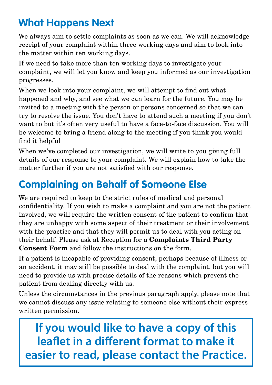### **What Happens Next**

We always aim to settle complaints as soon as we can. We will acknowledge receipt of your complaint within three working days and aim to look into the matter within ten working days.

If we need to take more than ten working days to investigate your complaint, we will let you know and keep you informed as our investigation progresses.

When we look into your complaint, we will attempt to find out what happened and why, and see what we can learn for the future. You may be invited to a meeting with the person or persons concerned so that we can try to resolve the issue. You don't have to attend such a meeting if you don't want to but it's often very useful to have a face-to-face discussion. You will be welcome to bring a friend along to the meeting if you think you would find it helpful

When we've completed our investigation, we will write to you giving full details of our response to your complaint. We will explain how to take the matter further if you are not satisfied with our response.

### **Complaining on Behalf of Someone Else**

We are required to keep to the strict rules of medical and personal confidentiality. If you wish to make a complaint and you are not the patient involved, we will require the written consent of the patient to confirm that they are unhappy with some aspect of their treatment or their involvement with the practice and that they will permit us to deal with you acting on their behalf. Please ask at Reception for a **Complaints Third Party Consent Form** and follow the instructions on the form.

If a patient is incapable of providing consent, perhaps because of illness or an accident, it may still be possible to deal with the complaint, but you will need to provide us with precise details of the reasons which prevent the patient from dealing directly with us.

Unless the circumstances in the previous paragraph apply, please note that we cannot discuss any issue relating to someone else without their express written permission.

**If you would like to have a copy of this leaflet in a different format to make it easier to read, please contact the Practice.**